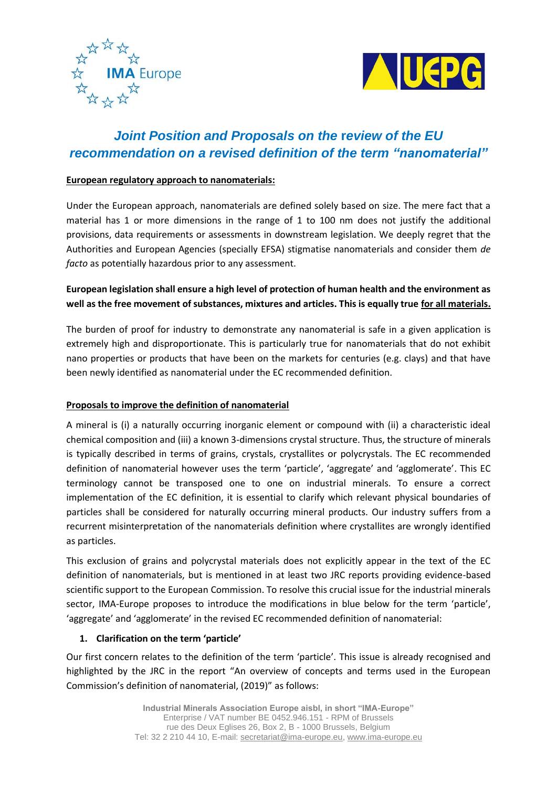



# *Joint Position and Proposals on the* **r***eview of the EU recommendation on a revised definition of the term "nanomaterial"*

#### **European regulatory approach to nanomaterials:**

Under the European approach, nanomaterials are defined solely based on size. The mere fact that a material has 1 or more dimensions in the range of 1 to 100 nm does not justify the additional provisions, data requirements or assessments in downstream legislation. We deeply regret that the Authorities and European Agencies (specially EFSA) stigmatise nanomaterials and consider them *de facto* as potentially hazardous prior to any assessment.

# **European legislation shall ensure a high level of protection of human health and the environment as well as the free movement of substances, mixtures and articles. This is equally true for all materials.**

The burden of proof for industry to demonstrate any nanomaterial is safe in a given application is extremely high and disproportionate. This is particularly true for nanomaterials that do not exhibit nano properties or products that have been on the markets for centuries (e.g. clays) and that have been newly identified as nanomaterial under the EC recommended definition.

#### **Proposals to improve the definition of nanomaterial**

A mineral is (i) a naturally occurring inorganic element or compound with (ii) a characteristic ideal chemical composition and (iii) a known 3-dimensions crystal structure. Thus, the structure of minerals is typically described in terms of grains, crystals, crystallites or polycrystals. The EC recommended definition of nanomaterial however uses the term 'particle', 'aggregate' and 'agglomerate'. This EC terminology cannot be transposed one to one on industrial minerals. To ensure a correct implementation of the EC definition, it is essential to clarify which relevant physical boundaries of particles shall be considered for naturally occurring mineral products. Our industry suffers from a recurrent misinterpretation of the nanomaterials definition where crystallites are wrongly identified as particles.

This exclusion of grains and polycrystal materials does not explicitly appear in the text of the EC definition of nanomaterials, but is mentioned in at least two JRC reports providing evidence-based scientific support to the European Commission. To resolve this crucial issue for the industrial minerals sector, IMA-Europe proposes to introduce the modifications in blue below for the term 'particle', 'aggregate' and 'agglomerate' in the revised EC recommended definition of nanomaterial:

#### **1. Clarification on the term 'particle'**

Our first concern relates to the definition of the term 'particle'. This issue is already recognised and highlighted by the JRC in the report "An overview of concepts and terms used in the European Commission's definition of nanomaterial, (2019)" as follows: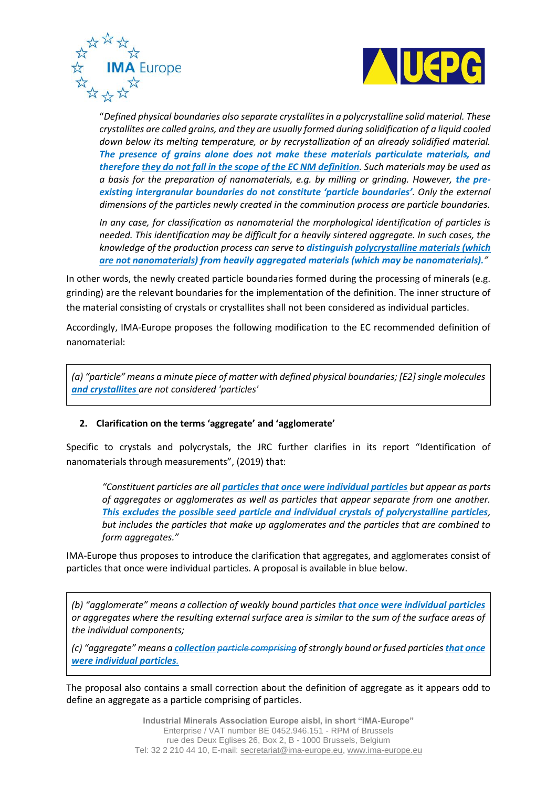



"*Defined physical boundaries also separate crystallites in a polycrystalline solid material. These crystallites are called grains, and they are usually formed during solidification of a liquid cooled down below its melting temperature, or by recrystallization of an already solidified material. The presence of grains alone does not make these materials particulate materials, and therefore they do not fall in the scope of the EC NM definition. Such materials may be used as*  a basis for the preparation of nanomaterials, e.g. by milling or grinding. However, the pre*existing intergranular boundaries do not constitute 'particle boundaries'. Only the external dimensions of the particles newly created in the comminution process are particle boundaries.* 

*In any case, for classification as nanomaterial the morphological identification of particles is needed. This identification may be difficult for a heavily sintered aggregate. In such cases, the knowledge of the production process can serve to distinguish polycrystalline materials (which are not nanomaterials) from heavily aggregated materials (which may be nanomaterials)."*

In other words, the newly created particle boundaries formed during the processing of minerals (e.g. grinding) are the relevant boundaries for the implementation of the definition. The inner structure of the material consisting of crystals or crystallites shall not been considered as individual particles.

Accordingly, IMA-Europe proposes the following modification to the EC recommended definition of nanomaterial:

*(a) "particle" means a minute piece of matter with defined physical boundaries; [E2] single molecules and crystallites are not considered 'particles'*

#### **2. Clarification on the terms 'aggregate' and 'agglomerate'**

Specific to crystals and polycrystals, the JRC further clarifies in its report "Identification of nanomaterials through measurements", (2019) that:

*"Constituent particles are all particles that once were individual particles but appear as parts of aggregates or agglomerates as well as particles that appear separate from one another. This excludes the possible seed particle and individual crystals of polycrystalline particles, but includes the particles that make up agglomerates and the particles that are combined to form aggregates."*

IMA-Europe thus proposes to introduce the clarification that aggregates, and agglomerates consist of particles that once were individual particles. A proposal is available in blue below.

*(b) "agglomerate" means a collection of weakly bound particles that once were individual particles or aggregates where the resulting external surface area is similar to the sum of the surface areas of the individual components;*

*(c) "aggregate" means a collection particle comprising of strongly bound or fused particles that once were individual particles.*

The proposal also contains a small correction about the definition of aggregate as it appears odd to define an aggregate as a particle comprising of particles.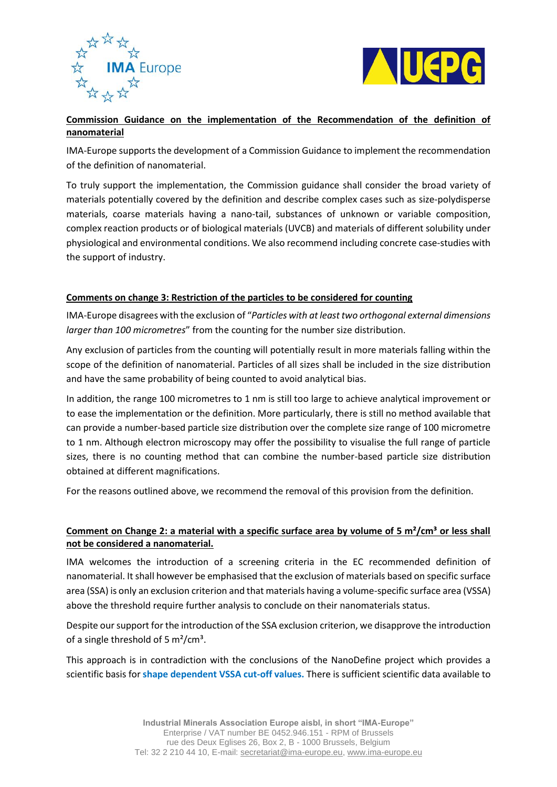



## **Commission Guidance on the implementation of the Recommendation of the definition of nanomaterial**

IMA-Europe supports the development of a Commission Guidance to implement the recommendation of the definition of nanomaterial.

To truly support the implementation, the Commission guidance shall consider the broad variety of materials potentially covered by the definition and describe complex cases such as size-polydisperse materials, coarse materials having a nano-tail, substances of unknown or variable composition, complex reaction products or of biological materials (UVCB) and materials of different solubility under physiological and environmental conditions. We also recommend including concrete case-studies with the support of industry.

#### **Comments on change 3: Restriction of the particles to be considered for counting**

IMA-Europe disagrees with the exclusion of "*Particles with at least two orthogonal external dimensions larger than 100 micrometres*" from the counting for the number size distribution.

Any exclusion of particles from the counting will potentially result in more materials falling within the scope of the definition of nanomaterial. Particles of all sizes shall be included in the size distribution and have the same probability of being counted to avoid analytical bias.

In addition, the range 100 micrometres to 1 nm is still too large to achieve analytical improvement or to ease the implementation or the definition. More particularly, there is still no method available that can provide a number-based particle size distribution over the complete size range of 100 micrometre to 1 nm. Although electron microscopy may offer the possibility to visualise the full range of particle sizes, there is no counting method that can combine the number-based particle size distribution obtained at different magnifications.

For the reasons outlined above, we recommend the removal of this provision from the definition.

### **Comment on Change 2: a material with a specific surface area by volume of 5 m<sup>2</sup>/cm<sup>3</sup> or less shall not be considered a nanomaterial.**

IMA welcomes the introduction of a screening criteria in the EC recommended definition of nanomaterial. It shall however be emphasised that the exclusion of materials based on specific surface area (SSA) is only an exclusion criterion and that materials having a volume-specific surface area (VSSA) above the threshold require further analysis to conclude on their nanomaterials status.

Despite our support for the introduction of the SSA exclusion criterion, we disapprove the introduction of a single threshold of 5  $\text{m}^2/\text{cm}^3$ .

This approach is in contradiction with the conclusions of the NanoDefine project which provides a scientific basis for **shape dependent VSSA cut-off values.** There is sufficient scientific data available to